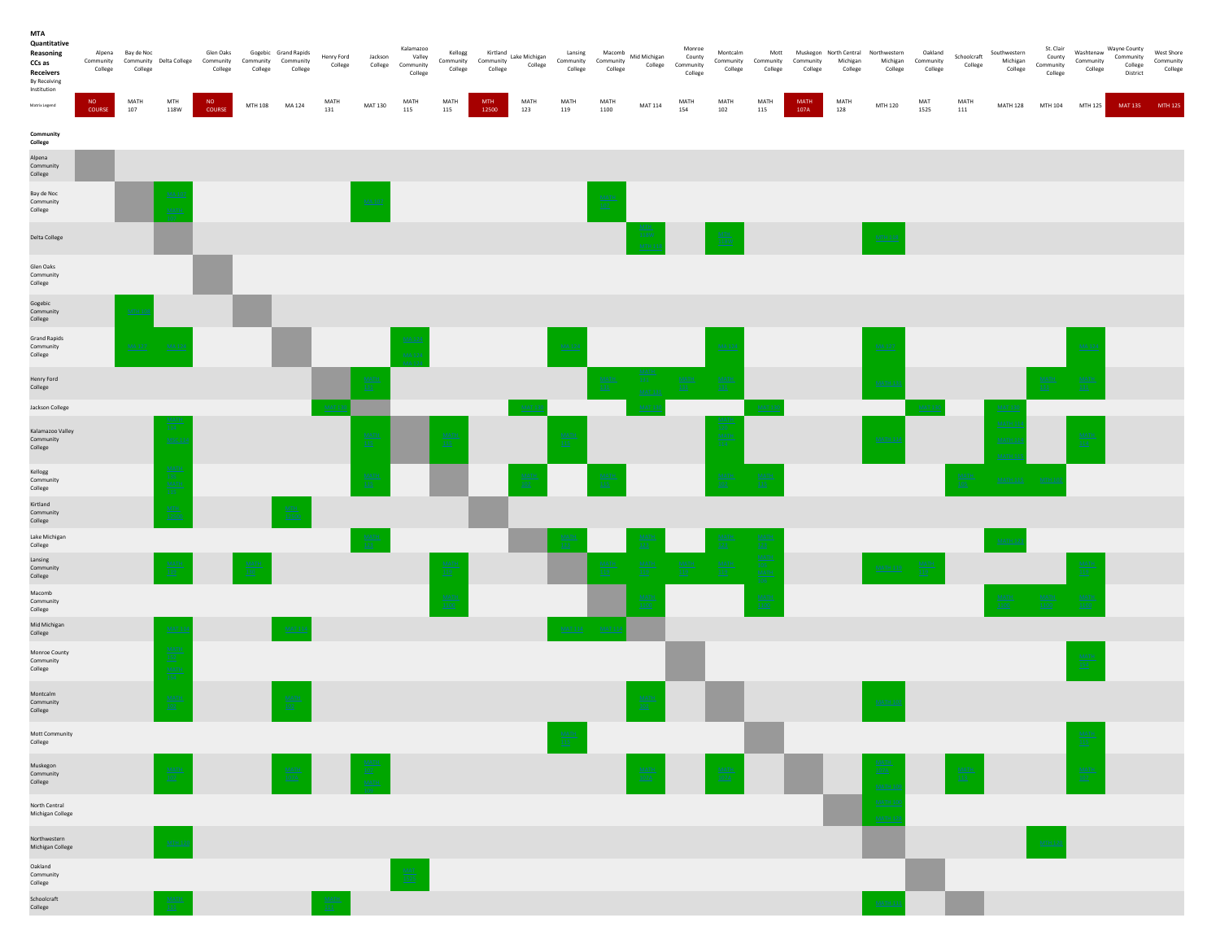| <b>MTA</b><br>Quantitative<br>Reasoning<br>CCs as<br>Receivers<br>By Receiving<br>Institution | College      | Alpena Bay de Noc<br>Community Community Delta College<br>College |                                                      | Glen Oaks<br>Community<br>College | Community Community<br>College | Gogebic Grand Rapids<br>College    | Henry Ford<br>College | Jackson<br>College        | Kalamazoo<br>Valley<br>Community<br>College | Kellogg<br>College | Kellogg Kirtland<br>Community Community Community<br>College | College     | Lansing<br>Community Community<br>College | Macomb<br>College                     | Mid Michigan<br>College    | Monroe<br>County<br>Community<br>College | Montcalm<br>Community Community Community<br>College | Mott<br>College | Muskegon North Central<br>College | Michigan<br>College | Northwestern<br>Michigan Community<br>College | Oakland<br>College       | Schoolcraft<br>College    | Southwestern<br>Michigan<br>College            | St. Clair<br>County<br>Community<br>College | Washtenaw<br>Community<br>College | Wayne County<br>Community<br>College<br>District | West Shore<br>Community<br>College |
|-----------------------------------------------------------------------------------------------|--------------|-------------------------------------------------------------------|------------------------------------------------------|-----------------------------------|--------------------------------|------------------------------------|-----------------------|---------------------------|---------------------------------------------|--------------------|--------------------------------------------------------------|-------------|-------------------------------------------|---------------------------------------|----------------------------|------------------------------------------|------------------------------------------------------|-----------------|-----------------------------------|---------------------|-----------------------------------------------|--------------------------|---------------------------|------------------------------------------------|---------------------------------------------|-----------------------------------|--------------------------------------------------|------------------------------------|
| <b>Matrix Legend</b>                                                                          | NO<br>COURSE | MATH<br>107                                                       | MTH<br>118W                                          | NO<br>COURSE                      | MTH 108 MA 124                 |                                    | MATH<br>131           | <b>MAT 130</b>            | MATH<br>115                                 | MATH<br>115        | MTH.<br>12500                                                | MATH<br>123 | MATH<br>119                               | MATH<br>1100                          | <b>MAT 114</b>             | MATH<br>154                              | MATH<br>102                                          | MATH<br>$115\,$ | <b>MATH</b><br>107A               | MATH<br>128         | MTH 120                                       | MAT<br>1525              | MATH<br>111               |                                                | MATH 128 MTH 104 MTH 125                    |                                   | MAT 135 MTH 125                                  |                                    |
| Community<br>College                                                                          |              |                                                                   |                                                      |                                   |                                |                                    |                       |                           |                                             |                    |                                                              |             |                                           |                                       |                            |                                          |                                                      |                 |                                   |                     |                                               |                          |                           |                                                |                                             |                                   |                                                  |                                    |
| Alpena<br>Community<br>College                                                                |              |                                                                   |                                                      |                                   |                                |                                    |                       |                           |                                             |                    |                                                              |             |                                           |                                       |                            |                                          |                                                      |                 |                                   |                     |                                               |                          |                           |                                                |                                             |                                   |                                                  |                                    |
| Bay de Noc<br>Community<br>College                                                            |              |                                                                   | MA1<br>MAT                                           |                                   |                                |                                    |                       | $MAA$ 10                  |                                             |                    |                                                              |             |                                           | $\frac{\text{MATF}}{\underline{107}}$ |                            |                                          |                                                      |                 |                                   |                     |                                               |                          |                           |                                                |                                             |                                   |                                                  |                                    |
| Delta College                                                                                 |              |                                                                   |                                                      |                                   |                                |                                    |                       |                           |                                             |                    |                                                              |             |                                           |                                       | 118W                       |                                          |                                                      |                 |                                   |                     | MTH 11                                        |                          |                           |                                                |                                             |                                   |                                                  |                                    |
| Glen Oaks<br>Community<br>College                                                             |              |                                                                   |                                                      |                                   |                                |                                    |                       |                           |                                             |                    |                                                              |             |                                           |                                       |                            |                                          |                                                      |                 |                                   |                     |                                               |                          |                           |                                                |                                             |                                   |                                                  |                                    |
| Gogebic<br>Community<br>College                                                               |              | MTH1                                                              |                                                      |                                   |                                |                                    |                       |                           |                                             |                    |                                                              |             |                                           |                                       |                            |                                          |                                                      |                 |                                   |                     |                                               |                          |                           |                                                |                                             |                                   |                                                  |                                    |
| <b>Grand Rapids</b><br>Community<br>College                                                   |              | MA 127                                                            | <b>MA12</b>                                          |                                   |                                |                                    |                       |                           |                                             |                    |                                                              |             | <b>MA12</b>                               |                                       |                            |                                          | MA12                                                 |                 |                                   |                     | MA 127                                        |                          |                           |                                                |                                             | MA12                              |                                                  |                                    |
| Henry Ford<br>College                                                                         |              |                                                                   |                                                      |                                   |                                |                                    |                       | $\frac{\text{MATF}}{131}$ |                                             |                    |                                                              |             |                                           | $\frac{\text{MATH}}{131}$             | <u>MAT 131</u>             | $\frac{\text{MATH}}{131}$                | MATE<br>131                                          |                 |                                   |                     | MATH:                                         |                          |                           |                                                | <b>MATH</b>                                 | $\frac{\text{MATH}}{131}$         |                                                  |                                    |
| Jackson College                                                                               |              |                                                                   |                                                      |                                   |                                |                                    |                       |                           |                                             |                    |                                                              |             |                                           |                                       |                            |                                          |                                                      |                 |                                   |                     |                                               |                          |                           | <b>MAT 13</b>                                  |                                             |                                   |                                                  |                                    |
| Kalamazoo Valley<br>Community<br>College                                                      |              |                                                                   | MSC <sub>1</sub>                                     |                                   |                                |                                    |                       | MATE<br>115               |                                             | MATH<br>115        |                                                              |             | MAT<br>115                                |                                       |                            |                                          | MATH                                                 |                 |                                   |                     | MATH <sub>1</sub>                             |                          |                           | MATH <sub>1</sub><br>MATH <sub>1</sub><br>MATH |                                             | $\frac{\text{MAP}}{114}$          |                                                  |                                    |
| Kellogg<br>Community<br>College                                                               |              |                                                                   | MAT<br>135<br>MAT<br>11!                             |                                   |                                |                                    |                       | MAT<br>-115               |                                             |                    |                                                              | MAT         |                                           | MA                                    |                            |                                          | <b>MATH</b>                                          | MATH            |                                   |                     |                                               |                          |                           | <b>MATH 115</b>                                | MTH                                         |                                   |                                                  |                                    |
| Kirtland<br>Community<br>College                                                              |              |                                                                   | MTH<br>1250                                          |                                   |                                | $\frac{MTH}{12500}$                |                       |                           |                                             |                    |                                                              |             |                                           |                                       |                            |                                          |                                                      |                 |                                   |                     |                                               |                          |                           |                                                |                                             |                                   |                                                  |                                    |
| Lake Michigan<br>College                                                                      |              |                                                                   |                                                      |                                   |                                |                                    |                       |                           |                                             |                    |                                                              |             |                                           |                                       |                            |                                          |                                                      | MAT<br>123      |                                   |                     |                                               |                          |                           | MATH                                           |                                             |                                   |                                                  |                                    |
| Lansing<br>Community<br>College                                                               |              |                                                                   | 119                                                  |                                   | 130                            |                                    |                       |                           |                                             | MAT<br>119         |                                                              |             |                                           | MATH<br>119                           | $\frac{\text{MATH}}{119}$  | $\frac{\text{MATH}}{119}$                | $\frac{\text{MATH}}{119}$                            | MATH<br>MATH    |                                   |                     | MATH 119                                      | $\frac{\text{MAT}}{119}$ |                           |                                                |                                             | MAT<br>119                        |                                                  |                                    |
| Macomb<br>Community<br>College                                                                |              |                                                                   |                                                      |                                   |                                |                                    |                       |                           |                                             | MATH<br>1100       |                                                              |             |                                           |                                       | <b>MATH</b><br>1100        |                                          |                                                      | MATH<br>110     |                                   |                     |                                               |                          |                           | $\frac{\text{MATH}}{1100}$                     | $\frac{\text{MATH}}{1100}$                  | $\frac{MATH}{1100}$               |                                                  |                                    |
| Mid Michigan<br>College                                                                       |              |                                                                   | MAT                                                  |                                   |                                |                                    |                       |                           |                                             |                    |                                                              |             | <b>MAT 114</b>                            | MAT                                   |                            |                                          |                                                      |                 |                                   |                     |                                               |                          |                           |                                                |                                             |                                   |                                                  |                                    |
| Monroe County<br>Community<br>College                                                         |              |                                                                   | $\frac{\text{MAT}}{152}$<br>$\frac{\text{MAT}}{154}$ |                                   |                                |                                    |                       |                           |                                             |                    |                                                              |             |                                           |                                       |                            |                                          |                                                      |                 |                                   |                     |                                               |                          |                           |                                                |                                             | MAT<br>$\underline{154}$          |                                                  |                                    |
| Montcalm<br>Community<br>College                                                              |              |                                                                   | $\frac{\text{MATH}}{102}$                            |                                   |                                | $\frac{\text{MATH}}{102}$          |                       |                           |                                             |                    |                                                              |             |                                           |                                       | MATH<br>102                |                                          |                                                      |                 |                                   |                     | MATH 1                                        |                          |                           |                                                |                                             |                                   |                                                  |                                    |
| Mott Community<br>College                                                                     |              |                                                                   |                                                      |                                   |                                |                                    |                       |                           |                                             |                    |                                                              |             | MATH<br><u>115</u>                        |                                       |                            |                                          |                                                      |                 |                                   |                     |                                               |                          |                           |                                                |                                             | MAT<br>$\underline{115}$          |                                                  |                                    |
| Muskegon<br>Community<br>College                                                              |              |                                                                   | $\frac{\text{MATH}}{107}$                            |                                   |                                | $\frac{\text{MATH}}{107 \text{A}}$ |                       | $\frac{\text{MATI}}{107}$ |                                             |                    |                                                              |             |                                           |                                       | $\frac{\text{MATl}}{107A}$ |                                          | $\frac{\text{MATH}}{107\text{A}}$                    |                 |                                   |                     | <u>MATI</u><br>107A<br>MATH                   |                          | $\frac{\text{MATI}}{113}$ |                                                |                                             | $\frac{\text{MAP}}{107}$          |                                                  |                                    |
| North Central<br>Michigan College                                                             |              |                                                                   |                                                      |                                   |                                |                                    |                       |                           |                                             |                    |                                                              |             |                                           |                                       |                            |                                          |                                                      |                 |                                   |                     | MATH 1<br>MATH:                               |                          |                           |                                                |                                             |                                   |                                                  |                                    |
| Northwestern<br>Michigan College                                                              |              |                                                                   | MTH1                                                 |                                   |                                |                                    |                       |                           |                                             |                    |                                                              |             |                                           |                                       |                            |                                          |                                                      |                 |                                   |                     |                                               |                          |                           |                                                | MTH                                         |                                   |                                                  |                                    |
| Oakland<br>Community<br>College                                                               |              |                                                                   |                                                      |                                   |                                |                                    |                       |                           | $\frac{\text{MAT}}{1525}$                   |                    |                                                              |             |                                           |                                       |                            |                                          |                                                      |                 |                                   |                     |                                               |                          |                           |                                                |                                             |                                   |                                                  |                                    |
| Schoolcraft<br>College                                                                        |              |                                                                   |                                                      |                                   |                                |                                    |                       |                           |                                             |                    |                                                              |             |                                           |                                       |                            |                                          |                                                      |                 |                                   |                     | MATH <sub>1</sub>                             |                          |                           |                                                |                                             |                                   |                                                  |                                    |